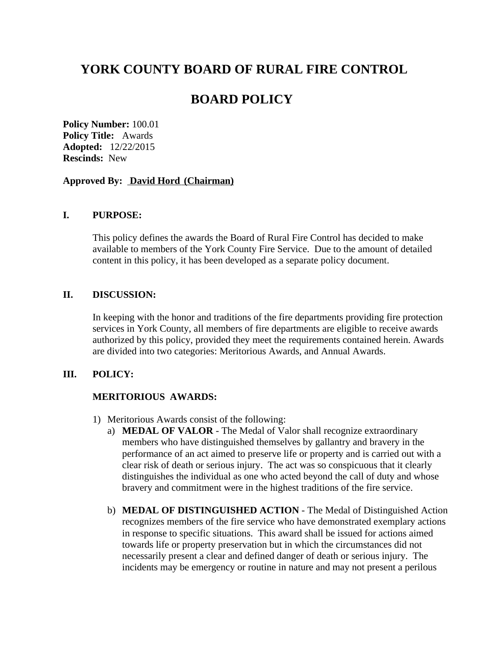# **YORK COUNTY BOARD OF RURAL FIRE CONTROL**

## **BOARD POLICY**

**Policy Number:** 100.01 **Policy Title:** Awards **Adopted:** 12/22/2015 **Rescinds:** New

### **Approved By: David Hord (Chairman)**

## **I. PURPOSE:**

This policy defines the awards the Board of Rural Fire Control has decided to make available to members of the York County Fire Service. Due to the amount of detailed content in this policy, it has been developed as a separate policy document.

## **II. DISCUSSION:**

In keeping with the honor and traditions of the fire departments providing fire protection services in York County, all members of fire departments are eligible to receive awards authorized by this policy, provided they meet the requirements contained herein. Awards are divided into two categories: Meritorious Awards, and Annual Awards.

### **III. POLICY:**

## **MERITORIOUS AWARDS:**

- 1) Meritorious Awards consist of the following:
	- a) **MEDAL OF VALOR** The Medal of Valor shall recognize extraordinary members who have distinguished themselves by gallantry and bravery in the performance of an act aimed to preserve life or property and is carried out with a clear risk of death or serious injury. The act was so conspicuous that it clearly distinguishes the individual as one who acted beyond the call of duty and whose bravery and commitment were in the highest traditions of the fire service.
	- b) **MEDAL OF DISTINGUISHED ACTION** The Medal of Distinguished Action recognizes members of the fire service who have demonstrated exemplary actions in response to specific situations. This award shall be issued for actions aimed towards life or property preservation but in which the circumstances did not necessarily present a clear and defined danger of death or serious injury. The incidents may be emergency or routine in nature and may not present a perilous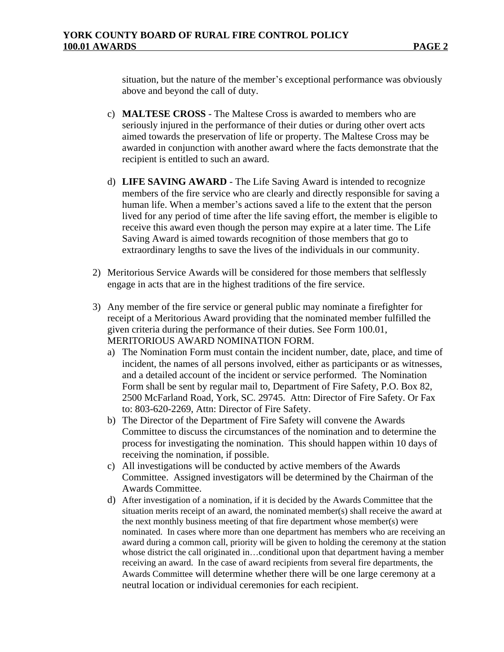situation, but the nature of the member's exceptional performance was obviously above and beyond the call of duty.

- c) **MALTESE CROSS** The Maltese Cross is awarded to members who are seriously injured in the performance of their duties or during other overt acts aimed towards the preservation of life or property. The Maltese Cross may be awarded in conjunction with another award where the facts demonstrate that the recipient is entitled to such an award.
- d) **LIFE SAVING AWARD**  The Life Saving Award is intended to recognize members of the fire service who are clearly and directly responsible for saving a human life. When a member's actions saved a life to the extent that the person lived for any period of time after the life saving effort, the member is eligible to receive this award even though the person may expire at a later time. The Life Saving Award is aimed towards recognition of those members that go to extraordinary lengths to save the lives of the individuals in our community.
- 2) Meritorious Service Awards will be considered for those members that selflessly engage in acts that are in the highest traditions of the fire service.
- 3) Any member of the fire service or general public may nominate a firefighter for receipt of a Meritorious Award providing that the nominated member fulfilled the given criteria during the performance of their duties. See Form 100.01, MERITORIOUS AWARD NOMINATION FORM.
	- a) The Nomination Form must contain the incident number, date, place, and time of incident, the names of all persons involved, either as participants or as witnesses, and a detailed account of the incident or service performed. The Nomination Form shall be sent by regular mail to, Department of Fire Safety, P.O. Box 82, 2500 McFarland Road, York, SC. 29745. Attn: Director of Fire Safety. Or Fax to: 803-620-2269, Attn: Director of Fire Safety.
	- b) The Director of the Department of Fire Safety will convene the Awards Committee to discuss the circumstances of the nomination and to determine the process for investigating the nomination. This should happen within 10 days of receiving the nomination, if possible.
	- c) All investigations will be conducted by active members of the Awards Committee. Assigned investigators will be determined by the Chairman of the Awards Committee.
	- d) After investigation of a nomination, if it is decided by the Awards Committee that the situation merits receipt of an award, the nominated member(s) shall receive the award at the next monthly business meeting of that fire department whose member(s) were nominated. In cases where more than one department has members who are receiving an award during a common call, priority will be given to holding the ceremony at the station whose district the call originated in...conditional upon that department having a member receiving an award. In the case of award recipients from several fire departments, the Awards Committee will determine whether there will be one large ceremony at a neutral location or individual ceremonies for each recipient.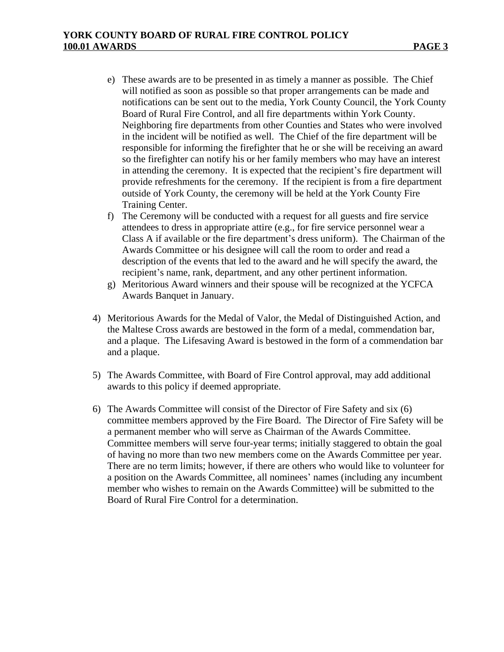- e) These awards are to be presented in as timely a manner as possible. The Chief will notified as soon as possible so that proper arrangements can be made and notifications can be sent out to the media, York County Council, the York County Board of Rural Fire Control, and all fire departments within York County. Neighboring fire departments from other Counties and States who were involved in the incident will be notified as well. The Chief of the fire department will be responsible for informing the firefighter that he or she will be receiving an award so the firefighter can notify his or her family members who may have an interest in attending the ceremony. It is expected that the recipient's fire department will provide refreshments for the ceremony. If the recipient is from a fire department outside of York County, the ceremony will be held at the York County Fire Training Center.
- f) The Ceremony will be conducted with a request for all guests and fire service attendees to dress in appropriate attire (e.g., for fire service personnel wear a Class A if available or the fire department's dress uniform). The Chairman of the Awards Committee or his designee will call the room to order and read a description of the events that led to the award and he will specify the award, the recipient's name, rank, department, and any other pertinent information.
- g) Meritorious Award winners and their spouse will be recognized at the YCFCA Awards Banquet in January.
- 4) Meritorious Awards for the Medal of Valor, the Medal of Distinguished Action, and the Maltese Cross awards are bestowed in the form of a medal, commendation bar, and a plaque. The Lifesaving Award is bestowed in the form of a commendation bar and a plaque.
- 5) The Awards Committee, with Board of Fire Control approval, may add additional awards to this policy if deemed appropriate.
- 6) The Awards Committee will consist of the Director of Fire Safety and six (6) committee members approved by the Fire Board. The Director of Fire Safety will be a permanent member who will serve as Chairman of the Awards Committee. Committee members will serve four-year terms; initially staggered to obtain the goal of having no more than two new members come on the Awards Committee per year. There are no term limits; however, if there are others who would like to volunteer for a position on the Awards Committee, all nominees' names (including any incumbent member who wishes to remain on the Awards Committee) will be submitted to the Board of Rural Fire Control for a determination.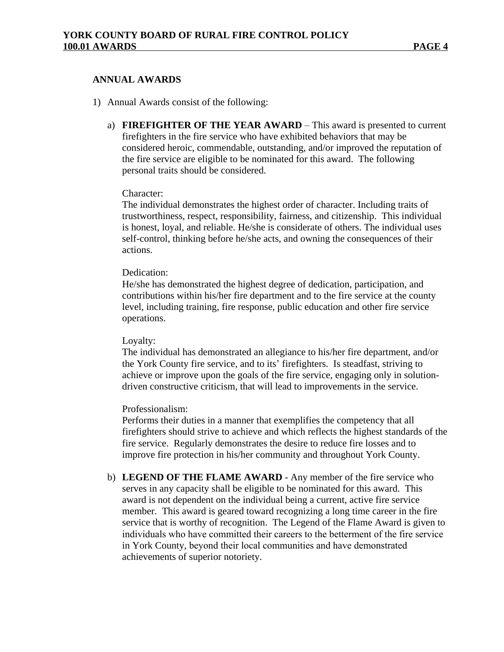## **ANNUAL AWARDS**

- 1) Annual Awards consist of the following:
	- a) **FIREFIGHTER OF THE YEAR AWARD** This award is presented to current firefighters in the fire service who have exhibited behaviors that may be considered heroic, commendable, outstanding, and/or improved the reputation of the fire service are eligible to be nominated for this award. The following personal traits should be considered.

## Character:

The individual demonstrates the highest order of character. Including traits of trustworthiness, respect, responsibility, fairness, and citizenship. This individual is honest, loyal, and reliable. He/she is considerate of others. The individual uses self-control, thinking before he/she acts, and owning the consequences of their actions.

## Dedication:

He/she has demonstrated the highest degree of dedication, participation, and contributions within his/her fire department and to the fire service at the county level, including training, fire response, public education and other fire service operations.

### Loyalty:

The individual has demonstrated an allegiance to his/her fire department, and/or the York County fire service, and to its' firefighters. Is steadfast, striving to achieve or improve upon the goals of the fire service, engaging only in solutiondriven constructive criticism, that will lead to improvements in the service.

### Professionalism:

Performs their duties in a manner that exemplifies the competency that all firefighters should strive to achieve and which reflects the highest standards of the fire service. Regularly demonstrates the desire to reduce fire losses and to improve fire protection in his/her community and throughout York County.

b) **LEGEND OF THE FLAME AWARD** - Any member of the fire service who serves in any capacity shall be eligible to be nominated for this award. This award is not dependent on the individual being a current, active fire service member. This award is geared toward recognizing a long time career in the fire service that is worthy of recognition. The Legend of the Flame Award is given to individuals who have committed their careers to the betterment of the fire service in York County, beyond their local communities and have demonstrated achievements of superior notoriety.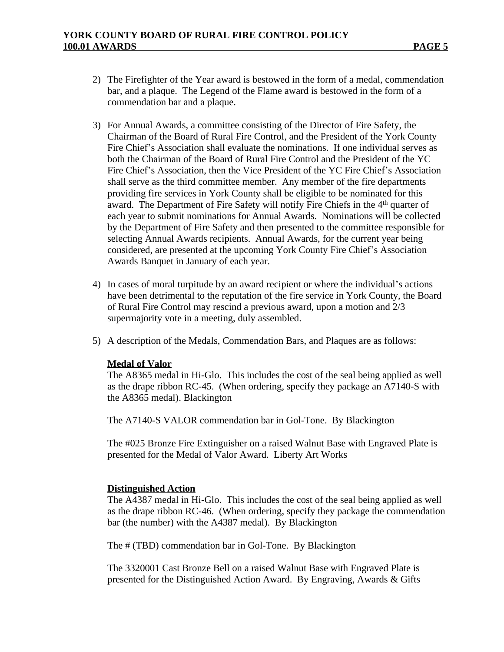- 2) The Firefighter of the Year award is bestowed in the form of a medal, commendation bar, and a plaque. The Legend of the Flame award is bestowed in the form of a commendation bar and a plaque.
- 3) For Annual Awards, a committee consisting of the Director of Fire Safety, the Chairman of the Board of Rural Fire Control, and the President of the York County Fire Chief's Association shall evaluate the nominations. If one individual serves as both the Chairman of the Board of Rural Fire Control and the President of the YC Fire Chief's Association, then the Vice President of the YC Fire Chief's Association shall serve as the third committee member. Any member of the fire departments providing fire services in York County shall be eligible to be nominated for this award. The Department of Fire Safety will notify Fire Chiefs in the 4<sup>th</sup> quarter of each year to submit nominations for Annual Awards. Nominations will be collected by the Department of Fire Safety and then presented to the committee responsible for selecting Annual Awards recipients. Annual Awards, for the current year being considered, are presented at the upcoming York County Fire Chief's Association Awards Banquet in January of each year.
- 4) In cases of moral turpitude by an award recipient or where the individual's actions have been detrimental to the reputation of the fire service in York County, the Board of Rural Fire Control may rescind a previous award, upon a motion and 2/3 supermajority vote in a meeting, duly assembled.
- 5) A description of the Medals, Commendation Bars, and Plaques are as follows:

### **Medal of Valor**

The A8365 medal in Hi-Glo. This includes the cost of the seal being applied as well as the drape ribbon RC-45. (When ordering, specify they package an A7140-S with the A8365 medal). Blackington

The A7140-S VALOR commendation bar in Gol-Tone. By Blackington

The #025 Bronze Fire Extinguisher on a raised Walnut Base with Engraved Plate is presented for the Medal of Valor Award. Liberty Art Works

### **Distinguished Action**

The A4387 medal in Hi-Glo. This includes the cost of the seal being applied as well as the drape ribbon RC-46. (When ordering, specify they package the commendation bar (the number) with the A4387 medal). By Blackington

The # (TBD) commendation bar in Gol-Tone. By Blackington

The 3320001 Cast Bronze Bell on a raised Walnut Base with Engraved Plate is presented for the Distinguished Action Award. By Engraving, Awards & Gifts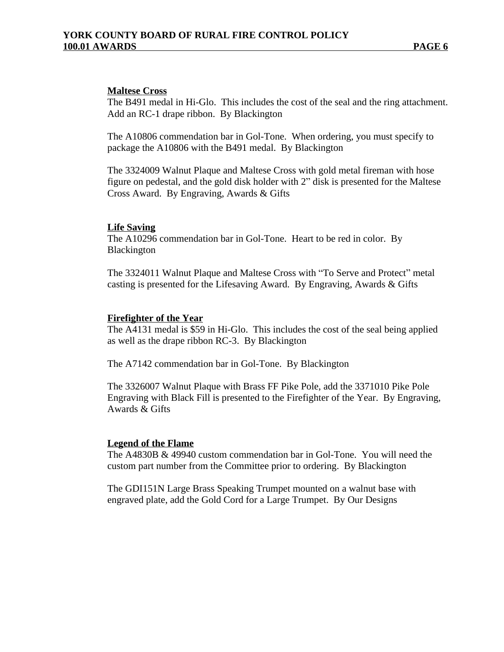## **Maltese Cross**

The B491 medal in Hi-Glo. This includes the cost of the seal and the ring attachment. Add an RC-1 drape ribbon. By Blackington

The A10806 commendation bar in Gol-Tone. When ordering, you must specify to package the A10806 with the B491 medal. By Blackington

The 3324009 Walnut Plaque and Maltese Cross with gold metal fireman with hose figure on pedestal, and the gold disk holder with 2" disk is presented for the Maltese Cross Award. By Engraving, Awards & Gifts

### **Life Saving**

The A10296 commendation bar in Gol-Tone. Heart to be red in color. By Blackington

The 3324011 Walnut Plaque and Maltese Cross with "To Serve and Protect" metal casting is presented for the Lifesaving Award. By Engraving, Awards & Gifts

### **Firefighter of the Year**

The A4131 medal is \$59 in Hi-Glo. This includes the cost of the seal being applied as well as the drape ribbon RC-3. By Blackington

The A7142 commendation bar in Gol-Tone. By Blackington

The 3326007 Walnut Plaque with Brass FF Pike Pole, add the 3371010 Pike Pole Engraving with Black Fill is presented to the Firefighter of the Year. By Engraving, Awards & Gifts

### **Legend of the Flame**

The A4830B & 49940 custom commendation bar in Gol-Tone. You will need the custom part number from the Committee prior to ordering. By Blackington

The GDI151N Large Brass Speaking Trumpet mounted on a walnut base with engraved plate, add the Gold Cord for a Large Trumpet. By Our Designs